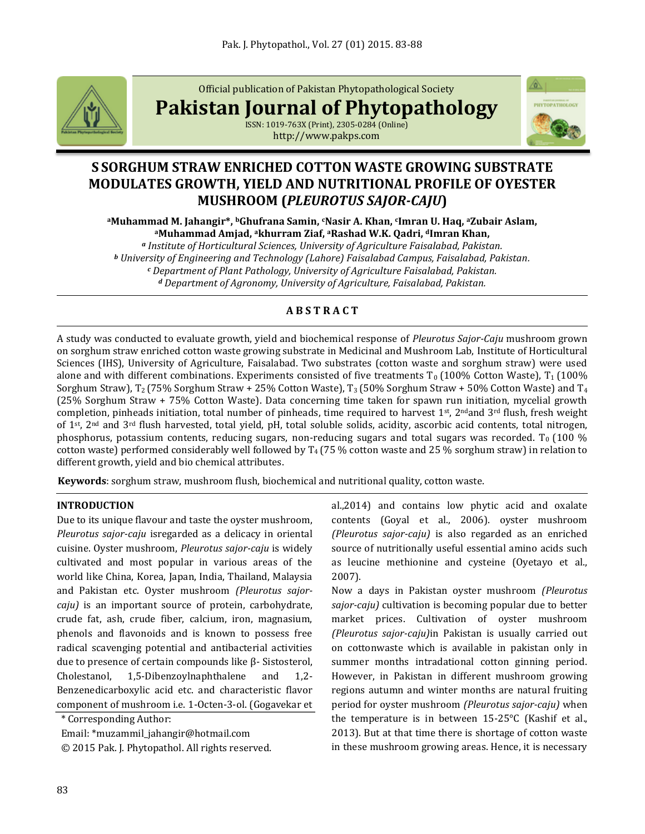

Official publication of Pakistan Phytopathological Society

**Pakistan Journal of Phytopathology**



</u>

Où,

ISSN: 1019-763X (Print), 2305-0284 (Online) http://www.pakps.com

# **S SORGHUM STRAW ENRICHED COTTON WASTE GROWING SUBSTRATE MODULATES GROWTH, YIELD AND NUTRITIONAL PROFILE OF OYESTER MUSHROOM (***PLEUROTUS SAJOR-CAJU***)**

**<sup>a</sup>Muhammad M. Jahangir\*, bGhufrana Samin, cNasir A. Khan, cImran U. Haq, <sup>a</sup>Zubair Aslam, <sup>a</sup>Muhammad Amjad, akhurram Ziaf, aRashad W.K. Qadri, dImran Khan,**

*<sup>a</sup> Institute of Horticultural Sciences, University of Agriculture Faisalabad, Pakistan. <sup>b</sup> University of Engineering and Technology (Lahore) Faisalabad Campus, Faisalabad, Pakistan. <sup>c</sup> Department of Plant Pathology, University of Agriculture Faisalabad, Pakistan. <sup>d</sup> Department of Agronomy, University of Agriculture, Faisalabad, Pakistan.*

## **A B S T R A C T**

A study was conducted to evaluate growth, yield and biochemical response of *Pleurotus Sajor-Caju* mushroom grown on sorghum straw enriched cotton waste growing substrate in Medicinal and Mushroom Lab, Institute of Horticultural Sciences (IHS), University of Agriculture, Faisalabad. Two substrates (cotton waste and sorghum straw) were used alone and with different combinations. Experiments consisted of five treatments  $T_0$  (100% Cotton Waste),  $T_1$  (100%) Sorghum Straw),  $T_2$  (75% Sorghum Straw + 25% Cotton Waste),  $T_3$  (50% Sorghum Straw + 50% Cotton Waste) and  $T_4$ (25% Sorghum Straw + 75% Cotton Waste). Data concerning time taken for spawn run initiation, mycelial growth completion, pinheads initiation, total number of pinheads, time required to harvest 1<sup>st</sup>, 2<sup>nd</sup> and 3<sup>rd</sup> flush, fresh weight of 1st, 2nd and 3rd flush harvested, total yield, pH, total soluble solids, acidity, ascorbic acid contents, total nitrogen, phosphorus, potassium contents, reducing sugars, non-reducing sugars and total sugars was recorded. T<sub>0</sub> (100 %) cotton waste) performed considerably well followed by  $T_4$  (75 % cotton waste and 25 % sorghum straw) in relation to different growth, yield and bio chemical attributes.

**Keywords**: sorghum straw, mushroom flush, biochemical and nutritional quality, cotton waste.

## **INTRODUCTION**

Due to its unique flavour and taste the oyster mushroom, *Pleurotus sajor-caju* isregarded as a delicacy in oriental cuisine. Oyster mushroom, *Pleurotus sajor-caju* is widely cultivated and most popular in various areas of the world like China, Korea, Japan, India, Thailand, Malaysia and Pakistan etc. Oyster mushroom *(Pleurotus sajorcaju)* is an important source of protein, carbohydrate, crude fat, ash, crude fiber, calcium, iron, magnasium, phenols and flavonoids and is known to possess free radical scavenging potential and antibacterial activities due to presence of certain compounds like β- Sistosterol, Cholestanol, 1,5-Dibenzoylnaphthalene and 1,2- Benzenedicarboxylic acid etc. and characteristic flavor component of mushroom i.e. 1-Octen-3-ol. (Gogavekar et

\* Corresponding Author:

Email: \*muzammil\_jahangir@hotmail.com

© 2015 Pak. J. Phytopathol. All rights reserved.

al.,2014) and contains low phytic acid and oxalate contents (Goyal et al., 2006). oyster mushroom *(Pleurotus sajor-caju)* is also regarded as an enriched source of nutritionally useful essential amino acids such as leucine methionine and cysteine (Oyetayo et al., 2007).

Now a days in Pakistan oyster mushroom *(Pleurotus sajor-caju)* cultivation is becoming popular due to better market prices. Cultivation of oyster mushroom *(Pleurotus sajor-caju)*in Pakistan is usually carried out on cottonwaste which is available in pakistan only in summer months intradational cotton ginning period. However, in Pakistan in different mushroom growing regions autumn and winter months are natural fruiting period for oyster mushroom *(Pleurotus sajor-caju)* when the temperature is in between 15-25°C (Kashif et al., 2013). But at that time there is shortage of cotton waste in these mushroom growing areas. Hence, it is necessary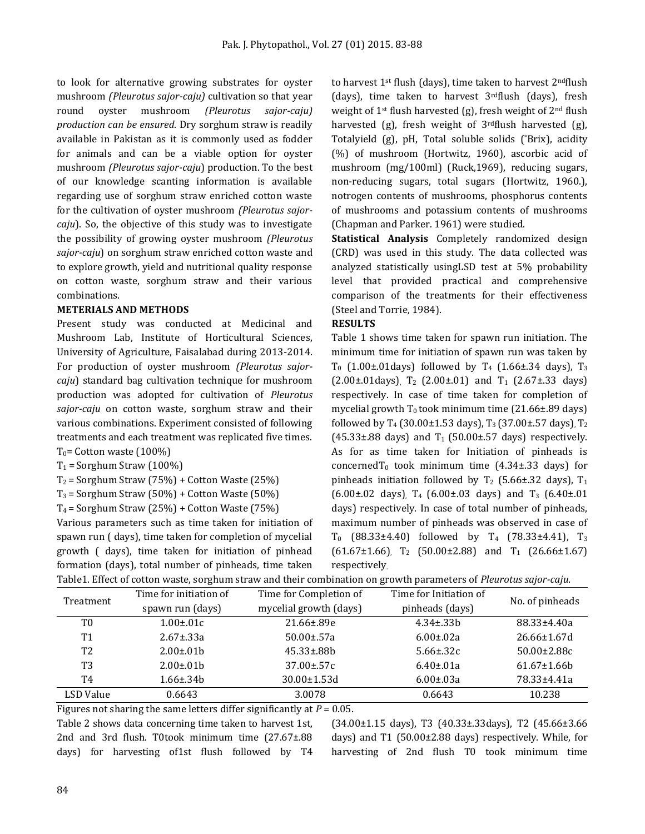to look for alternative growing substrates for oyster mushroom *(Pleurotus sajor-caju)* cultivation so that year round oyster mushroom *(Pleurotus sajor-caju) production can be ensured*. Dry sorghum straw is readily available in Pakistan as it is commonly used as fodder for animals and can be a viable option for oyster mushroom *(Pleurotus sajor-caju*) production. To the best of our knowledge scanting information is available regarding use of sorghum straw enriched cotton waste for the cultivation of oyster mushroom *(Pleurotus sajorcaju*). So, the objective of this study was to investigate the possibility of growing oyster mushroom *(Pleurotus sajor-caju*) on sorghum straw enriched cotton waste and to explore growth, yield and nutritional quality response on cotton waste, sorghum straw and their various combinations.

#### **METERIALS AND METHODS**

Present study was conducted at Medicinal and Mushroom Lab, Institute of Horticultural Sciences, University of Agriculture, Faisalabad during 2013-2014. For production of oyster mushroom *(Pleurotus sajorcaju*) standard bag cultivation technique for mushroom production was adopted for cultivation of *Pleurotus sajor-caju* on cotton waste, sorghum straw and their various combinations. Experiment consisted of following treatments and each treatment was replicated five times.  $T_0$ = Cotton waste (100%)

 $T_1$  = Sorghum Straw (100%)

 $T_2$  = Sorghum Straw (75%) + Cotton Waste (25%)

 $T_3$  = Sorghum Straw (50%) + Cotton Waste (50%)

 $T_4$  = Sorghum Straw (25%) + Cotton Waste (75%)

Various parameters such as time taken for initiation of spawn run ( days), time taken for completion of mycelial growth ( days), time taken for initiation of pinhead formation (days), total number of pinheads, time taken to harvest 1<sup>st</sup> flush (days), time taken to harvest 2<sup>nd</sup>flush (days), time taken to harvest  $3<sup>rd</sup>$ flush (days), fresh weight of 1st flush harvested (g), fresh weight of 2nd flush harvested (g), fresh weight of  $3<sup>rd</sup>$ flush harvested (g), Totalyield (g), pH, Total soluble solids (°Brix), acidity (%) of mushroom (Hortwitz, 1960), ascorbic acid of mushroom (mg/100ml) (Ruck,1969), reducing sugars, non-reducing sugars, total sugars (Hortwitz, 1960.), notrogen contents of mushrooms, phosphorus contents of mushrooms and potassium contents of mushrooms (Chapman and Parker. 1961) were studied.

**Statistical Analysis** Completely randomized design (CRD) was used in this study. The data collected was analyzed statistically usingLSD test at 5% probability level that provided practical and comprehensive comparison of the treatments for their effectiveness (Steel and Torrie, 1984).

#### **RESULTS**

Table 1 shows time taken for spawn run initiation. The minimum time for initiation of spawn run was taken by  $T_0$  (1.00±.01days) followed by  $T_4$  (1.66±.34 days),  $T_3$  $(2.00\pm.01$ days), T<sub>2</sub> (2.00 $\pm$ .01) and T<sub>1</sub> (2.67 $\pm$ .33 days) respectively. In case of time taken for completion of mycelial growth  $T_0$  took minimum time (21.66 $\pm$ .89 days) followed by T<sub>4</sub> (30.00±1.53 days), T<sub>3</sub> (37.00±.57 days), T<sub>2</sub>  $(45.33\pm.88$  days) and T<sub>1</sub> (50.00 $\pm$ .57 days) respectively. As for as time taken for Initiation of pinheads is concerned $T_0$  took minimum time (4.34 $\pm$ .33 days) for pinheads initiation followed by  $T_2$  (5.66±.32 days),  $T_1$  $(6.00\pm.02 \text{ days})$  T<sub>4</sub>  $(6.00\pm.03 \text{ days})$  and T<sub>3</sub>  $(6.40\pm.01 \text{ days})$ days) respectively. In case of total number of pinheads, maximum number of pinheads was observed in case of  $T_0$  (88.33±4.40) followed by  $T_4$  (78.33±4.41),  $T_3$  $(61.67\pm1.66)$ , T<sub>2</sub> (50.00 $\pm$ 2.88) and T<sub>1</sub> (26.66 $\pm$ 1.67) respectively.

|                |                        |                        |                        | $\overline{\phantom{a}}$ |
|----------------|------------------------|------------------------|------------------------|--------------------------|
| Treatment      | Time for initiation of | Time for Completion of | Time for Initiation of | No. of pinheads          |
|                | spawn run (days)       | mycelial growth (days) | pinheads (days)        |                          |
| T0             | $1.00 \pm 0.01c$       | 21.66±.89e             | $4.34 \pm .33 h$       | 88.33±4.40a              |
| T <sub>1</sub> | $2.67 \pm .33a$        | $50.00 \pm 57a$        | $6.00 \pm 0.02a$       | 26.66±1.67d              |
| T <sub>2</sub> | $2.00 \pm 0.01$ b      | $45.33 \pm .88$        | $5.66 \pm .32c$        | $50.00 \pm 2.88c$        |
| T <sub>3</sub> | $2.00 \pm 0.01$        | $37.00 \pm 57c$        | $6.40 \pm 0.01a$       | $61.67 \pm 1.66$         |
| Т4             | $1.66 \pm .34$         | $30.00 \pm 1.53$ d     | $6.00 \pm 0.03a$       | 78.33±4.41a              |
| LSD Value      | 0.6643                 | 3.0078                 | 0.6643                 | 10.238                   |

Table1. Effect of cotton waste, sorghum straw and their combination on growth parameters of *Pleurotus sajor-caju*.

Figures not sharing the same letters differ significantly at *P* = 0.05.

Table 2 shows data concerning time taken to harvest 1st, 2nd and 3rd flush. T0took minimum time (27.67±.88 days) for harvesting of1st flush followed by T4

(34.00±1.15 days), T3 (40.33±.33days), T2 (45.66±3.66 days) and T1 (50.00±2.88 days) respectively. While, for harvesting of 2nd flush T0 took minimum time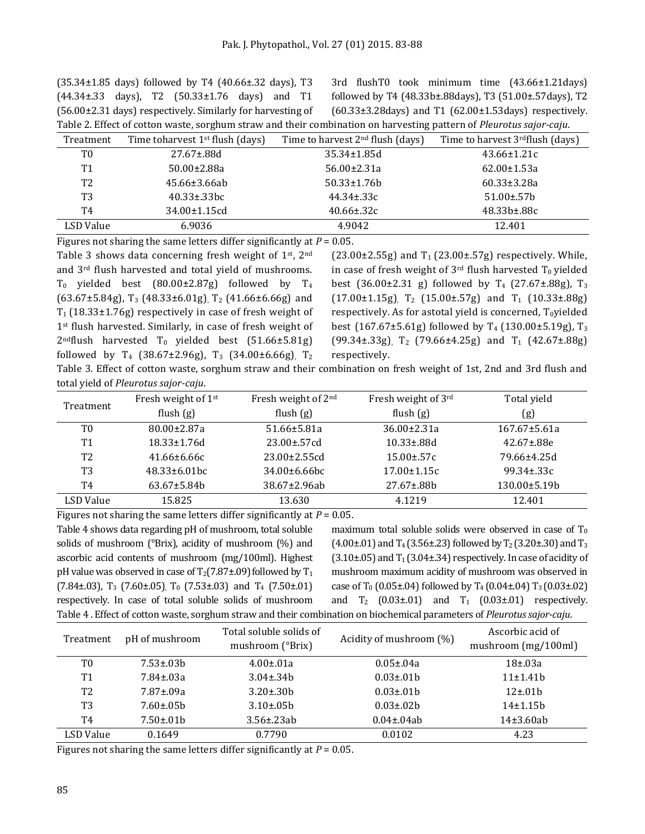$(35.34 \pm 1.85$  days) followed by T4  $(40.66 \pm .32$  days), T3 (44.34±.33 days), T2 (50.33±1.76 days) and T1 (56.00±2.31 days) respectively. Similarly for harvesting of Table 2. Effect of cotton waste, sorghum straw and their combination on harvesting pattern of *Pleurotus sajor-caju*.

3rd flushT0 took minimum time (43.66±1.21days) followed by T4 (48.33b±.88days), T3 (51.00±.57days), T2  $(60.33\pm3.28$ days) and T1  $(62.00\pm1.53)$  respectively.

| Table 2. Encet of cotton waste, sorginali straw and their combination on harvesting pattern or Ficarotas sajor-capa |                                    |                                    |                                              |
|---------------------------------------------------------------------------------------------------------------------|------------------------------------|------------------------------------|----------------------------------------------|
| Treatment                                                                                                           | Time to harvest $1st$ flush (days) | Time to harvest $2nd$ flush (days) | Time to harvest 3 <sup>rd</sup> flush (days) |
| T0                                                                                                                  | $27.67 \pm .88d$                   | $35.34 \pm 1.85$ d                 | $43.66 \pm 1.21c$                            |
| Τ1                                                                                                                  | $50.00 \pm 2.88$ a                 | $56.00 \pm 2.31a$                  | $62.00 \pm 1.53a$                            |
| T2                                                                                                                  | $45.66 \pm 3.66$ ab                | $50.33 \pm 1.76 b$                 | $60.33 \pm 3.28a$                            |
| T3                                                                                                                  | $40.33 \pm .33$ bc                 | $44.34 \pm .33c$                   | $51.00 \pm 57$                               |
| Т4                                                                                                                  | $34.00 \pm 1.15$ cd                | $40.66 \pm 32c$                    | $48.33b \pm .88c$                            |
| LSD Value                                                                                                           | 6.9036                             | 4.9042                             | 12.401                                       |
|                                                                                                                     |                                    |                                    |                                              |

Figures not sharing the same letters differ significantly at *P* = 0.05. Table 3 shows data concerning fresh weight of 1st, 2nd and 3rd flush harvested and total yield of mushrooms.  $T_0$  yielded best (80.00±2.87g) followed by  $T_4$  $(63.67\pm5.84g)$ , T<sub>3</sub> (48.33 $\pm$ 6.01g), T<sub>2</sub> (41.66 $\pm$ 6.66g) and  $T_1$  (18.33±1.76g) respectively in case of fresh weight of 1<sup>st</sup> flush harvested. Similarly, in case of fresh weight of  $2^{nd}$ flush harvested T<sub>0</sub> yielded best (51.66 $\pm$ 5.81g) followed by  $T_4$  (38.67±2.96g),  $T_3$  (34.00±6.66g),  $T_2$ 

 $(23.00\pm 2.55g)$  and T<sub>1</sub> (23.00 $\pm$ .57g) respectively. While, in case of fresh weight of  $3<sup>rd</sup>$  flush harvested T<sub>0</sub> yielded best (36.00±2.31 g) followed by  $T_4$  (27.67±.88g),  $T_3$  $(17.00\pm1.15g)$ , T<sub>2</sub>  $(15.00\pm.57g)$  and T<sub>1</sub>  $(10.33\pm.88g)$ respectively. As for astotal yield is concerned,  $T_0$ yielded best (167.67±5.61g) followed by T<sub>4</sub> (130.00±5.19g), T<sub>3</sub>  $(99.34\pm 0.33g)$ , T<sub>2</sub> (79.66 $\pm 4.25g$ ) and T<sub>1</sub> (42.67 $\pm .88g$ ) respectively.

Table 3. Effect of cotton waste, sorghum straw and their combination on fresh weight of 1st, 2nd and 3rd flush and total yield of *Pleurotus sajor-caju*.

| Treatment      | Fresh weight of 1 <sup>st</sup><br>flush $(g)$ | Fresh weight of 2 <sup>nd</sup><br>flush $(g)$ | Fresh weight of 3rd<br>flush $(g)$ | Total yield<br>(g)  |
|----------------|------------------------------------------------|------------------------------------------------|------------------------------------|---------------------|
| T0             | $80.00 \pm 2.87a$                              | 51.66±5.81a                                    | $36.00 \pm 2.31a$                  | $167.67 \pm 5.61a$  |
| <b>T1</b>      | $18.33 \pm 1.76d$                              | $23.00 \pm 57$ cd                              | $10.33 \pm .88$ d                  | $42.67 \pm .88e$    |
| T <sub>2</sub> | $41.66 \pm 6.66c$                              | $23.00 \pm 2.55$ cd                            | $15.00 \pm 57c$                    | 79.66±4.25d         |
| T3             | $48.33 \pm 6.01$ bc                            | $34.00\pm 6.66$ bc                             | $17.00 \pm 1.15c$                  | $99.34 \pm .33c$    |
| T4             | $63.67 \pm 5.84$                               | 38.67±2.96ab                                   | $27.67 \pm .88h$                   | $130.00 \pm 5.19 b$ |
| LSD Value      | 15.825                                         | 13.630                                         | 4.1219                             | 12.401              |

Figures not sharing the same letters differ significantly at  $P = 0.05$ .

Table 4 shows data regarding pH of mushroom, total soluble solids of mushroom (°Brix), acidity of mushroom (%) and ascorbic acid contents of mushroom (mg/100ml). Highest pH value was observed in case of  $T_2(7.87\pm.09)$  followed by  $T_1$  $(7.84\pm.03)$ , T<sub>3</sub> (7.60 $\pm$ .05), T<sub>0</sub> (7.53 $\pm$ .03) and T<sub>4</sub> (7.50 $\pm$ .01) respectively. In case of total soluble solids of mushroom Table 4 . Effect of cotton waste, sorghum straw and their combination on biochemical parameters of *Pleurotus sajor-caju*.

maximum total soluble solids were observed in case of  $T_0$  $(4.00\pm.01)$  and T<sub>4</sub> (3.56 $\pm$ .23) followed by T<sub>2</sub> (3.20 $\pm$ .30) and T<sub>3</sub>  $(3.10\pm.05)$  and T<sub>1</sub> $(3.04\pm.34)$  respectively. In case of acidity of mushroom maximum acidity of mushroom was observed in case of T<sub>0</sub> (0.05±.04) followed by T<sub>4</sub> (0.04±.04) T<sub>3</sub> (0.03±.02) and  $T_2$  (0.03±.01) and  $T_1$  (0.03±.01) respectively.

| Treatment | pH of mushroom    | Total soluble solids of<br>mushroom (°Brix) | Acidity of mushroom (%) | Ascorbic acid of<br>mushroom $(mg/100ml)$ |
|-----------|-------------------|---------------------------------------------|-------------------------|-------------------------------------------|
| T0        | $7.53 \pm 0.3$ b  | $4.00 \pm 0.01a$                            | $0.05 \pm 0.04a$        | $18\pm.03a$                               |
| T1        | 7.84±.03a         | $3.04 \pm .34$                              | $0.03 \pm 0.01$         | $11 \pm 1.41$                             |
| T2        | 7.87±.09a         | $3.20 \pm .30 h$                            | $0.03 \pm 0.01 b$       | $12 \pm .01 b$                            |
| T3        | $7.60 \pm 0.5$ b  | $3.10 \pm 0.05 b$                           | $0.03 \pm 0.02 b$       | $14\pm 1.15h$                             |
| Т4        | $7.50 \pm 0.01$ b | $3.56 \pm 23ab$                             | $0.04 \pm 0.4$ ab       | $14\pm3.60ab$                             |
| LSD Value | 0.1649            | 0.7790                                      | 0.0102                  | 4.23                                      |

Figures not sharing the same letters differ significantly at  $P = 0.05$ .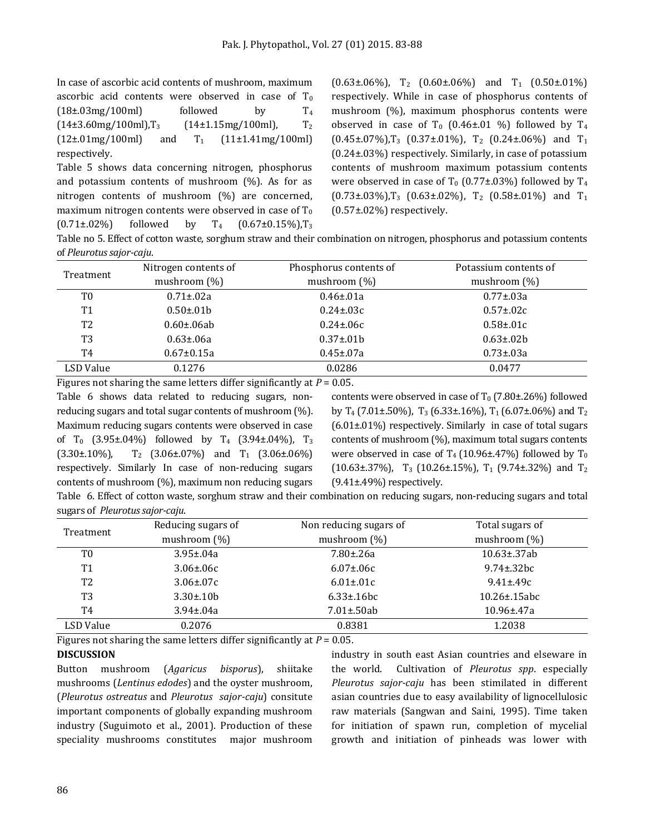In case of ascorbic acid contents of mushroom, maximum ascorbic acid contents were observed in case of  $T_0$  $(18\pm.03\text{mg}/100\text{ml})$  followed by  $T_4$  $(14\pm3.60$ mg/100ml),T<sub>3</sub>  $(14\pm1.15$ mg/100ml), T<sub>2</sub>  $(12\pm.01\text{mg}/100\text{ml})$  and  $T_1$   $(11\pm1.41\text{mg}/100\text{ml})$ respectively.

Table 5 shows data concerning nitrogen, phosphorus and potassium contents of mushroom  $(\%)$ . As for as nitrogen contents of mushroom (%) are concerned, maximum nitrogen contents were observed in case of  $T_0$  $(0.71\pm.02\%)$  followed by T<sub>4</sub>  $(0.67\pm0.15\%)$ , T<sub>3</sub>

 $(0.63\pm0.6\%)$ , T<sub>2</sub>  $(0.60\pm0.6\%)$  and T<sub>1</sub>  $(0.50\pm0.1\%)$ respectively. While in case of phosphorus contents of mushroom (%), maximum phosphorus contents were observed in case of  $T_0$  (0.46±.01 %) followed by  $T_4$  $(0.45\pm.07\%)$ , T<sub>3</sub> (0.37 $\pm.01\%$ ), T<sub>2</sub> (0.24 $\pm.06\%$ ) and T<sub>1</sub> (0.24±.03%) respectively. Similarly, in case of potassium contents of mushroom maximum potassium contents were observed in case of  $T_0$  (0.77±.03%) followed by  $T_4$  $(0.73\pm.03\%),T_3$   $(0.63\pm.02\%),T_2$   $(0.58\pm.01\%)$  and  $T_1$ (0.57±.02%) respectively.

Table no 5. Effect of cotton waste, sorghum straw and their combination on nitrogen, phosphorus and potassium contents of *Pleurotus sajor-caju*.

| Treatment      | Nitrogen contents of | Phosphorus contents of | Potassium contents of |
|----------------|----------------------|------------------------|-----------------------|
|                | mushroom $(\%)$      | mushroom $(\%)$        | mushroom $(\%)$       |
| T0             | $0.71 \pm 0.02a$     | $0.46 \pm 0.01a$       | $0.77 \pm 0.03a$      |
| T <sub>1</sub> | $0.50 \pm 0.01$      | $0.24 \pm 0.03c$       | $0.57 \pm 0.02c$      |
| T <sub>2</sub> | $0.60 \pm 06ab$      | $0.24 \pm 0.06c$       | $0.58 \pm 0.01c$      |
| T <sub>3</sub> | $0.63 \pm 0.6a$      | $0.37 \pm 0.01$        | $0.63 \pm 0.02 b$     |
| T4             | $0.67 \pm 0.15a$     | $0.45 \pm 0.07a$       | $0.73 \pm 0.03a$      |
| LSD Value      | 0.1276               | 0.0286                 | 0.0477                |

Figures not sharing the same letters differ significantly at *P* = 0.05. Table 6 shows data related to reducing sugars, nonreducing sugars and total sugar contents of mushroom (%). Maximum reducing sugars contents were observed in case of T<sub>0</sub> (3.95±.04%) followed by T<sub>4</sub> (3.94±.04%), T<sub>3</sub>  $(3.30\pm.10\%)$ ,  $T_2$   $(3.06\pm.07\%)$  and  $T_1$   $(3.06\pm.06\%)$ respectively. Similarly In case of non-reducing sugars contents of mushroom (%), maximum non reducing sugars

contents were observed in case of  $T_0$  (7.80 $\pm$ .26%) followed by T<sub>4</sub> (7.01±.50%), T<sub>3</sub> (6.33±.16%), T<sub>1</sub> (6.07±.06%) and T<sub>2</sub> (6.01±.01%) respectively. Similarly in case of total sugars contents of mushroom (%), maximum total sugars contents were observed in case of  $T_4$  (10.96±.47%) followed by  $T_0$ (10.63±.37%),  $T_3$  (10.26±.15%),  $T_1$  (9.74±.32%) and  $T_2$ (9.41±.49%) respectively.

Table 6. Effect of cotton waste, sorghum straw and their combination on reducing sugars, non-reducing sugars and total sugars of *Pleurotus sajor-caju*.

| Treatment      | Reducing sugars of | Non reducing sugars of | Total sugars of    |
|----------------|--------------------|------------------------|--------------------|
|                | mushroom $(\%)$    | mushroom $(\%)$        | mushroom $(\%)$    |
| T0             | $3.95 \pm 0.04a$   | $7.80 \pm 0.26a$       | $10.63 \pm .37$ ab |
| T <sub>1</sub> | $3.06 \pm 0.06c$   | $6.07 \pm 0.06c$       | $9.74 \pm .32$ bc  |
| T2             | $3.06 \pm 0.07c$   | $6.01 \pm 0.01$ c      | $9.41 \pm .49c$    |
| T3             | $3.30 \pm .10 b$   | $6.33 \pm 0.16$ bc     | $10.26 \pm 15$ abc |
| Τ4             | $3.94 \pm 0.04a$   | $7.01 \pm .50$ ab      | $10.96 \pm 47a$    |
| LSD Value      | 0.2076             | 0.8381                 | 1.2038             |

Figures not sharing the same letters differ significantly at *P* = 0.05.

#### **DISCUSSION**

Button mushroom (*Agaricus bisporus*), shiitake mushrooms (*Lentinus edodes*) and the oyster mushroom, (*Pleurotus ostreatus* and *Pleurotus sajor-caju*) consitute important components of globally expanding mushroom industry (Suguimoto et al., 2001). Production of these speciality mushrooms constitutes major mushroom industry in south east Asian countries and elseware in the world. Cultivation of *Pleurotus spp*. especially *Pleurotus sajor-caju* has been stimilated in different asian countries due to easy availability of lignocellulosic raw materials (Sangwan and Saini, 1995). Time taken for initiation of spawn run, completion of mycelial growth and initiation of pinheads was lower with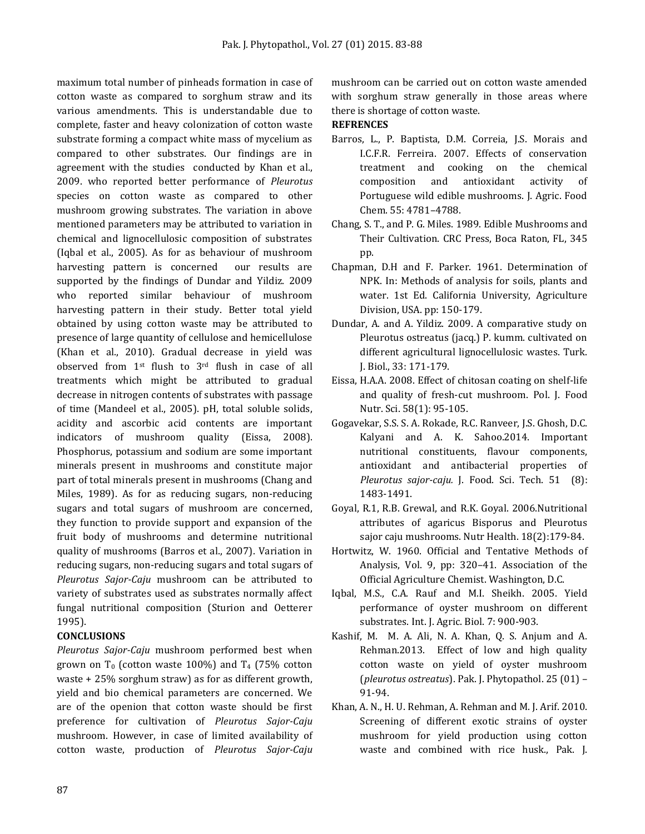maximum total number of pinheads formation in case of cotton waste as compared to sorghum straw and its various amendments. This is understandable due to complete, faster and heavy colonization of cotton waste substrate forming a compact white mass of mycelium as compared to other substrates. Our findings are in agreement with the studies conducted by Khan et al., 2009. who reported better performance of *Pleurotus* species on cotton waste as compared to other mushroom growing substrates. The variation in above mentioned parameters may be attributed to variation in chemical and lignocellulosic composition of substrates (Iqbal et al., 2005). As for as behaviour of mushroom harvesting pattern is concerned our results are supported by the findings of Dundar and Yildiz. 2009 who reported similar behaviour of mushroom harvesting pattern in their study. Better total yield obtained by using cotton waste may be attributed to presence of large quantity of cellulose and hemicellulose (Khan et al., 2010). Gradual decrease in yield was observed from 1st flush to 3rd flush in case of all treatments which might be attributed to gradual decrease in nitrogen contents of substrates with passage of time (Mandeel et al., 2005). pH, total soluble solids, acidity and ascorbic acid contents are important indicators of mushroom quality (Eissa, 2008). Phosphorus, potassium and sodium are some important minerals present in mushrooms and constitute major part of total minerals present in mushrooms (Chang and Miles, 1989). As for as reducing sugars, non-reducing sugars and total sugars of mushroom are concerned, they function to provide support and expansion of the fruit body of mushrooms and determine nutritional quality of mushrooms (Barros et al., 2007). Variation in reducing sugars, non-reducing sugars and total sugars of *Pleurotus Sajor-Caju* mushroom can be attributed to variety of substrates used as substrates normally affect fungal nutritional composition (Sturion and Oetterer 1995).

## **CONCLUSIONS**

*Pleurotus Sajor-Caju* mushroom performed best when grown on  $T_0$  (cotton waste 100%) and  $T_4$  (75% cotton waste + 25% sorghum straw) as for as different growth, yield and bio chemical parameters are concerned. We are of the openion that cotton waste should be first preference for cultivation of *Pleurotus Sajor-Caju* mushroom. However, in case of limited availability of cotton waste, production of *Pleurotus Sajor-Caju*

mushroom can be carried out on cotton waste amended with sorghum straw generally in those areas where there is shortage of cotton waste.

#### **REFRENCES**

- Barros, L., P. Baptista, D.M. Correia, J.S. Morais and I.C.F.R. Ferreira. 2007. Effects of conservation treatment and cooking on the chemical composition and antioxidant activity of Portuguese wild edible mushrooms. J. Agric. Food Chem. 55: 4781–4788.
- Chang, S. T., and P. G. Miles. 1989. Edible Mushrooms and Their Cultivation. CRC Press, Boca Raton, FL, 345 pp.
- Chapman, D.H and F. Parker. 1961. Determination of NPK. In: Methods of analysis for soils, plants and water. 1st Ed. California University, Agriculture Division, USA. pp: 150-179.
- Dundar, A. and A. Yildiz. 2009. A comparative study on Pleurotus ostreatus (jacq.) P. kumm. cultivated on different agricultural lignocellulosic wastes. Turk. J. Biol., 33: 171-179.
- Eissa, H.A.A. 2008. Effect of chitosan coating on shelf-life and quality of fresh-cut mushroom. Pol. J. Food Nutr. Sci. 58(1): 95-105.
- Gogavekar, S.S. S. A. Rokade, R.C. Ranveer, J.S. Ghosh, D.C. Kalyani and A. K. Sahoo.2014. Important nutritional constituents, flavour components, antioxidant and antibacterial properties of *Pleurotus sajor-caju.* J. Food. Sci. Tech. 51 (8): 1483-1491.
- Goyal, R.1, R.B. Grewal, and R.K. Goyal. 2006.Nutritional attributes of agaricus Bisporus and Pleurotus sajor caju mushrooms. Nutr Health. 18(2):179-84.
- Hortwitz, W. 1960. Official and Tentative Methods of Analysis, Vol. 9, pp: 320–41. Association of the Official Agriculture Chemist. Washington, D.C.
- Iqbal, M.S., C.A. Rauf and M.I. Sheikh. 2005. Yield performance of oyster mushroom on different substrates. Int. J. Agric. Biol. 7: 900-903.
- Kashif, M. M. A. Ali, N. A. Khan, Q. S. Anjum and A. Rehman.2013. Effect of low and high quality cotton waste on yield of oyster mushroom (*pleurotus ostreatus*). Pak. J. Phytopathol. 25 (01) – 91-94.
- Khan, A. N., H. U. Rehman, A. Rehman and M. J. Arif. 2010. Screening of different exotic strains of oyster mushroom for yield production using cotton waste and combined with rice husk., Pak. J.